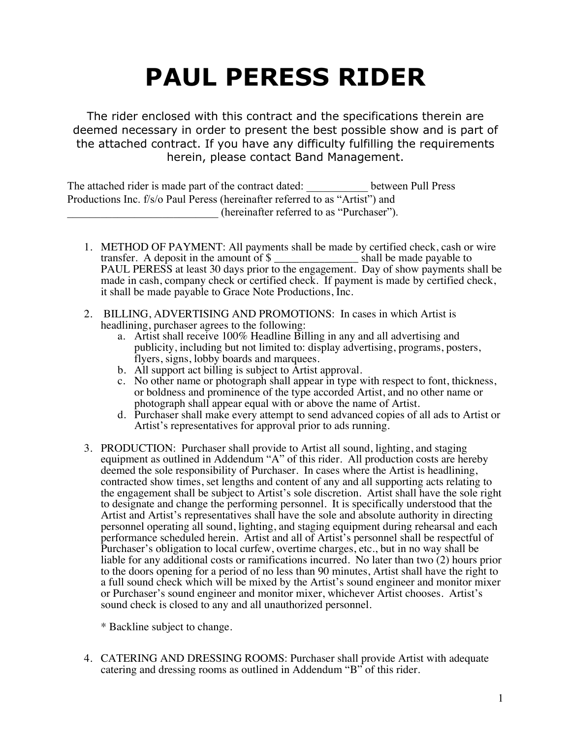# **PAUL PERESS RIDER**

The rider enclosed with this contract and the specifications therein are deemed necessary in order to present the best possible show and is part of the attached contract. If you have any difficulty fulfilling the requirements herein, please contact Band Management.

The attached rider is made part of the contract dated: between Pull Press Productions Inc. f/s/o Paul Peress (hereinafter referred to as "Artist") and (hereinafter referred to as "Purchaser").

- 1. METHOD OF PAYMENT: All payments shall be made by certified check, cash or wire transfer. A deposit in the amount of \$ \_\_\_\_\_\_\_\_\_\_\_\_\_\_\_ shall be made payable to PAUL PERESS at least 30 days prior to the engagement. Day of show payments shall be made in cash, company check or certified check. If payment is made by certified check, it shall be made payable to Grace Note Productions, Inc.
- 2. BILLING, ADVERTISING AND PROMOTIONS: In cases in which Artist is headlining, purchaser agrees to the following:
	- a. Artist shall receive 100% Headline Billing in any and all advertising and publicity, including but not limited to: display advertising, programs, posters, flyers, signs, lobby boards and marquees.
	- b. All support act billing is subject to Artist approval.
	- c. No other name or photograph shall appear in type with respect to font, thickness, or boldness and prominence of the type accorded Artist, and no other name or photograph shall appear equal with or above the name of Artist.
	- d. Purchaser shall make every attempt to send advanced copies of all ads to Artist or Artist's representatives for approval prior to ads running.
- 3. PRODUCTION: Purchaser shall provide to Artist all sound, lighting, and staging equipment as outlined in Addendum "A" of this rider. All production costs are hereby deemed the sole responsibility of Purchaser. In cases where the Artist is headlining, contracted show times, set lengths and content of any and all supporting acts relating to the engagement shall be subject to Artist's sole discretion. Artist shall have the sole right to designate and change the performing personnel. It is specifically understood that the Artist and Artist's representatives shall have the sole and absolute authority in directing personnel operating all sound, lighting, and staging equipment during rehearsal and each performance scheduled herein. Artist and all of Artist's personnel shall be respectful of Purchaser's obligation to local curfew, overtime charges, etc., but in no way shall be liable for any additional costs or ramifications incurred. No later than two (2) hours prior to the doors opening for a period of no less than 90 minutes, Artist shall have the right to a full sound check which will be mixed by the Artist's sound engineer and monitor mixer or Purchaser's sound engineer and monitor mixer, whichever Artist chooses. Artist's sound check is closed to any and all unauthorized personnel.

\* Backline subject to change.

4. CATERING AND DRESSING ROOMS: Purchaser shall provide Artist with adequate catering and dressing rooms as outlined in Addendum "B" of this rider.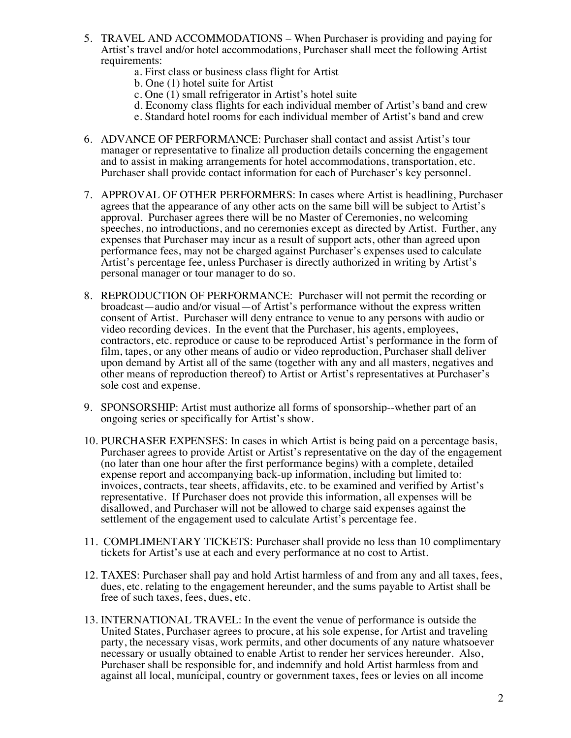- 5. TRAVEL AND ACCOMMODATIONS When Purchaser is providing and paying for Artist's travel and/or hotel accommodations, Purchaser shall meet the following Artist requirements:
	- a. First class or business class flight for Artist
	- b. One (1) hotel suite for Artist
	- c. One (1) small refrigerator in Artist's hotel suite
	- d. Economy class flights for each individual member of Artist's band and crew
	- e. Standard hotel rooms for each individual member of Artist's band and crew
- 6. ADVANCE OF PERFORMANCE: Purchaser shall contact and assist Artist's tour manager or representative to finalize all production details concerning the engagement and to assist in making arrangements for hotel accommodations, transportation, etc. Purchaser shall provide contact information for each of Purchaser's key personnel.
- 7. APPROVAL OF OTHER PERFORMERS: In cases where Artist is headlining, Purchaser agrees that the appearance of any other acts on the same bill will be subject to Artist's approval. Purchaser agrees there will be no Master of Ceremonies, no welcoming speeches, no introductions, and no ceremonies except as directed by Artist. Further, any expenses that Purchaser may incur as a result of support acts, other than agreed upon performance fees, may not be charged against Purchaser's expenses used to calculate Artist's percentage fee, unless Purchaser is directly authorized in writing by Artist's personal manager or tour manager to do so.
- 8. REPRODUCTION OF PERFORMANCE: Purchaser will not permit the recording or broadcast—audio and/or visual—of Artist's performance without the express written consent of Artist. Purchaser will deny entrance to venue to any persons with audio or video recording devices. In the event that the Purchaser, his agents, employees, contractors, etc. reproduce or cause to be reproduced Artist's performance in the form of film, tapes, or any other means of audio or video reproduction, Purchaser shall deliver upon demand by Artist all of the same (together with any and all masters, negatives and other means of reproduction thereof) to Artist or Artist's representatives at Purchaser's sole cost and expense.
- 9. SPONSORSHIP: Artist must authorize all forms of sponsorship--whether part of an ongoing series or specifically for Artist's show.
- 10. PURCHASER EXPENSES: In cases in which Artist is being paid on a percentage basis, Purchaser agrees to provide Artist or Artist's representative on the day of the engagement (no later than one hour after the first performance begins) with a complete, detailed expense report and accompanying back-up information, including but limited to: invoices, contracts, tear sheets, affidavits, etc. to be examined and verified by Artist's representative. If Purchaser does not provide this information, all expenses will be disallowed, and Purchaser will not be allowed to charge said expenses against the settlement of the engagement used to calculate Artist's percentage fee.
- 11. COMPLIMENTARY TICKETS: Purchaser shall provide no less than 10 complimentary tickets for Artist's use at each and every performance at no cost to Artist.
- 12. TAXES: Purchaser shall pay and hold Artist harmless of and from any and all taxes, fees, dues, etc. relating to the engagement hereunder, and the sums payable to Artist shall be free of such taxes, fees, dues, etc.
- 13. INTERNATIONAL TRAVEL: In the event the venue of performance is outside the United States, Purchaser agrees to procure, at his sole expense, for Artist and traveling party, the necessary visas, work permits, and other documents of any nature whatsoever necessary or usually obtained to enable Artist to render her services hereunder. Also, Purchaser shall be responsible for, and indemnify and hold Artist harmless from and against all local, municipal, country or government taxes, fees or levies on all income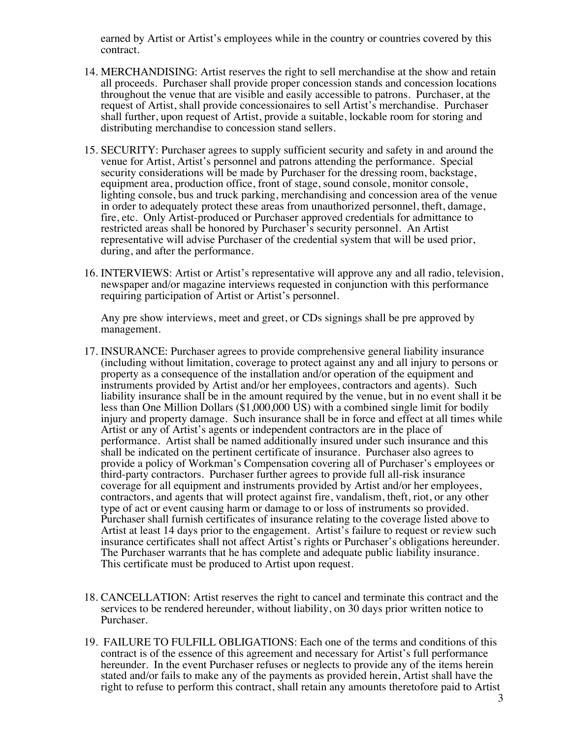earned by Artist or Artist's employees while in the country or countries covered by this contract.

- 14. MERCHANDISING: Artist reserves the right to sell merchandise at the show and retain all proceeds. Purchaser shall provide proper concession stands and concession locations throughout the venue that are visible and easily accessible to patrons. Purchaser, at the request of Artist, shall provide concessionaires to sell Artist's merchandise. Purchaser shall further, upon request of Artist, provide a suitable, lockable room for storing and distributing merchandise to concession stand sellers.
- 15. SECURITY: Purchaser agrees to supply sufficient security and safety in and around the venue for Artist, Artist's personnel and patrons attending the performance. Special security considerations will be made by Purchaser for the dressing room, backstage, equipment area, production office, front of stage, sound console, monitor console, lighting console, bus and truck parking, merchandising and concession area of the venue in order to adequately protect these areas from unauthorized personnel, theft, damage, fire, etc. Only Artist-produced or Purchaser approved credentials for admittance to restricted areas shall be honored by Purchaser's security personnel. An Artist representative will advise Purchaser of the credential system that will be used prior, during, and after the performance.
- 16. INTERVIEWS: Artist or Artist's representative will approve any and all radio, television, newspaper and/or magazine interviews requested in conjunction with this performance requiring participation of Artist or Artist's personnel.

Any pre show interviews, meet and greet, or CDs signings shall be pre approved by management.

- 17. INSURANCE: Purchaser agrees to provide comprehensive general liability insurance (including without limitation, coverage to protect against any and all injury to persons or property as a consequence of the installation and/or operation of the equipment and instruments provided by Artist and/or her employees, contractors and agents). Such liability insurance shall be in the amount required by the venue, but in no event shall it be less than One Million Dollars (\$1,000,000 US) with a combined single limit for bodily injury and property damage. Such insurance shall be in force and effect at all times while Artist or any of Artist's agents or independent contractors are in the place of performance. Artist shall be named additionally insured under such insurance and this shall be indicated on the pertinent certificate of insurance. Purchaser also agrees to provide a policy of Workman's Compensation covering all of Purchaser's employees or third-party contractors. Purchaser further agrees to provide full all-risk insurance coverage for all equipment and instruments provided by Artist and/or her employees, contractors, and agents that will protect against fire, vandalism, theft, riot, or any other type of act or event causing harm or damage to or loss of instruments so provided. Purchaser shall furnish certificates of insurance relating to the coverage listed above to Artist at least 14 days prior to the engagement. Artist's failure to request or review such insurance certificates shall not affect Artist's rights or Purchaser's obligations hereunder. The Purchaser warrants that he has complete and adequate public liability insurance. This certificate must be produced to Artist upon request.
- 18. CANCELLATION: Artist reserves the right to cancel and terminate this contract and the services to be rendered hereunder, without liability, on 30 days prior written notice to Purchaser.
- 19. FAILURE TO FULFILL OBLIGATIONS: Each one of the terms and conditions of this contract is of the essence of this agreement and necessary for Artist's full performance hereunder. In the event Purchaser refuses or neglects to provide any of the items herein stated and/or fails to make any of the payments as provided herein, Artist shall have the right to refuse to perform this contract, shall retain any amounts theretofore paid to Artist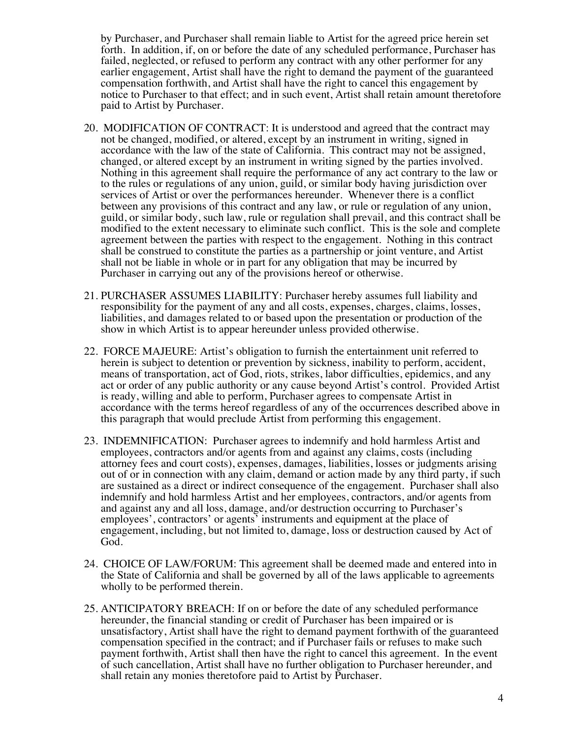by Purchaser, and Purchaser shall remain liable to Artist for the agreed price herein set forth. In addition, if, on or before the date of any scheduled performance, Purchaser has failed, neglected, or refused to perform any contract with any other performer for any earlier engagement, Artist shall have the right to demand the payment of the guaranteed compensation forthwith, and Artist shall have the right to cancel this engagement by notice to Purchaser to that effect; and in such event, Artist shall retain amount theretofore paid to Artist by Purchaser.

- 20. MODIFICATION OF CONTRACT: It is understood and agreed that the contract may not be changed, modified, or altered, except by an instrument in writing, signed in accordance with the law of the state of California. This contract may not be assigned, changed, or altered except by an instrument in writing signed by the parties involved. Nothing in this agreement shall require the performance of any act contrary to the law or to the rules or regulations of any union, guild, or similar body having jurisdiction over services of Artist or over the performances hereunder. Whenever there is a conflict between any provisions of this contract and any law, or rule or regulation of any union, guild, or similar body, such law, rule or regulation shall prevail, and this contract shall be modified to the extent necessary to eliminate such conflict. This is the sole and complete agreement between the parties with respect to the engagement. Nothing in this contract shall be construed to constitute the parties as a partnership or joint venture, and Artist shall not be liable in whole or in part for any obligation that may be incurred by Purchaser in carrying out any of the provisions hereof or otherwise.
- 21. PURCHASER ASSUMES LIABILITY: Purchaser hereby assumes full liability and responsibility for the payment of any and all costs, expenses, charges, claims, losses, liabilities, and damages related to or based upon the presentation or production of the show in which Artist is to appear hereunder unless provided otherwise.
- 22. FORCE MAJEURE: Artist's obligation to furnish the entertainment unit referred to herein is subject to detention or prevention by sickness, inability to perform, accident, means of transportation, act of God, riots, strikes, labor difficulties, epidemics, and any act or order of any public authority or any cause beyond Artist's control. Provided Artist is ready, willing and able to perform, Purchaser agrees to compensate Artist in accordance with the terms hereof regardless of any of the occurrences described above in this paragraph that would preclude Artist from performing this engagement.
- 23. INDEMNIFICATION: Purchaser agrees to indemnify and hold harmless Artist and employees, contractors and/or agents from and against any claims, costs (including attorney fees and court costs), expenses, damages, liabilities, losses or judgments arising out of or in connection with any claim, demand or action made by any third party, if such are sustained as a direct or indirect consequence of the engagement. Purchaser shall also indemnify and hold harmless Artist and her employees, contractors, and/or agents from and against any and all loss, damage, and/or destruction occurring to Purchaser's employees', contractors' or agents' instruments and equipment at the place of engagement, including, but not limited to, damage, loss or destruction caused by Act of God.
- 24. CHOICE OF LAW/FORUM: This agreement shall be deemed made and entered into in the State of California and shall be governed by all of the laws applicable to agreements wholly to be performed therein.
- 25. ANTICIPATORY BREACH: If on or before the date of any scheduled performance hereunder, the financial standing or credit of Purchaser has been impaired or is unsatisfactory, Artist shall have the right to demand payment forthwith of the guaranteed compensation specified in the contract; and if Purchaser fails or refuses to make such payment forthwith, Artist shall then have the right to cancel this agreement. In the event of such cancellation, Artist shall have no further obligation to Purchaser hereunder, and shall retain any monies theretofore paid to Artist by Purchaser.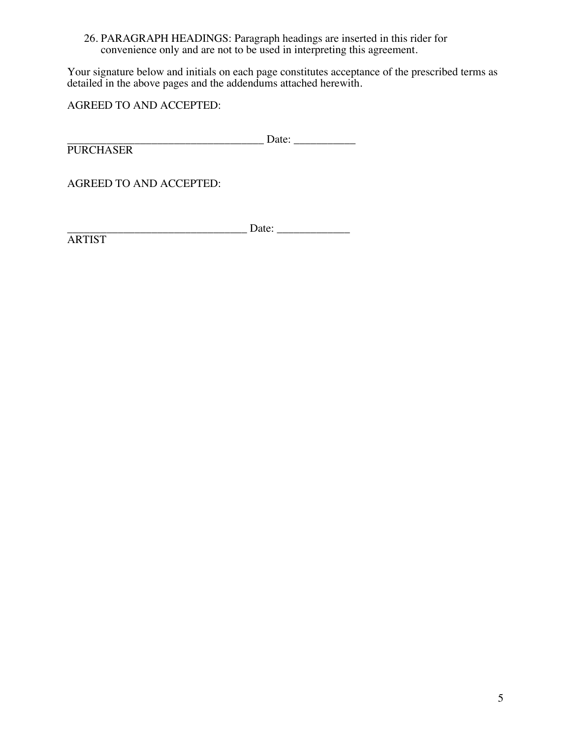# 26. PARAGRAPH HEADINGS: Paragraph headings are inserted in this rider for convenience only and are not to be used in interpreting this agreement.

Your signature below and initials on each page constitutes acceptance of the prescribed terms as detailed in the above pages and the addendums attached herewith.

AGREED TO AND ACCEPTED:

\_\_\_\_\_\_\_\_\_\_\_\_\_\_\_\_\_\_\_\_\_\_\_\_\_\_\_\_\_\_\_\_\_\_\_ Date: \_\_\_\_\_\_\_\_\_\_\_

**PURCHASER** 

AGREED TO AND ACCEPTED:

\_\_\_\_\_\_\_\_\_\_\_\_\_\_\_\_\_\_\_\_\_\_\_\_\_\_\_\_\_\_\_\_ Date: \_\_\_\_\_\_\_\_\_\_\_\_\_

ARTIST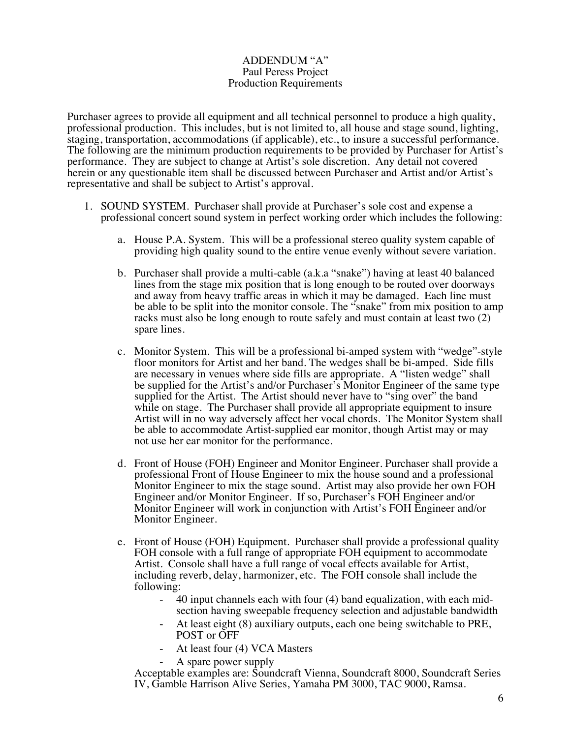#### ADDENDUM "A" Paul Peress Project Production Requirements

Purchaser agrees to provide all equipment and all technical personnel to produce a high quality, professional production. This includes, but is not limited to, all house and stage sound, lighting, staging, transportation, accommodations (if applicable), etc., to insure a successful performance. The following are the minimum production requirements to be provided by Purchaser for Artist's performance. They are subject to change at Artist's sole discretion. Any detail not covered herein or any questionable item shall be discussed between Purchaser and Artist and/or Artist's representative and shall be subject to Artist's approval.

- 1. SOUND SYSTEM. Purchaser shall provide at Purchaser's sole cost and expense a professional concert sound system in perfect working order which includes the following:
	- a. House P.A. System. This will be a professional stereo quality system capable of providing high quality sound to the entire venue evenly without severe variation.
	- b. Purchaser shall provide a multi-cable (a.k.a "snake") having at least 40 balanced lines from the stage mix position that is long enough to be routed over doorways and away from heavy traffic areas in which it may be damaged. Each line must be able to be split into the monitor console. The "snake" from mix position to amp racks must also be long enough to route safely and must contain at least two (2) spare lines.
	- c. Monitor System. This will be a professional bi-amped system with "wedge"-style floor monitors for Artist and her band. The wedges shall be bi-amped. Side fills are necessary in venues where side fills are appropriate. A "listen wedge" shall be supplied for the Artist's and/or Purchaser's Monitor Engineer of the same type supplied for the Artist. The Artist should never have to "sing over" the band while on stage. The Purchaser shall provide all appropriate equipment to insure Artist will in no way adversely affect her vocal chords. The Monitor System shall be able to accommodate Artist-supplied ear monitor, though Artist may or may not use her ear monitor for the performance.
	- d. Front of House (FOH) Engineer and Monitor Engineer. Purchaser shall provide a professional Front of House Engineer to mix the house sound and a professional Monitor Engineer to mix the stage sound. Artist may also provide her own FOH Engineer and/or Monitor Engineer. If so, Purchaser's FOH Engineer and/or Monitor Engineer will work in conjunction with Artist's FOH Engineer and/or Monitor Engineer.
	- e. Front of House (FOH) Equipment. Purchaser shall provide a professional quality FOH console with a full range of appropriate FOH equipment to accommodate Artist. Console shall have a full range of vocal effects available for Artist, including reverb, delay, harmonizer, etc. The FOH console shall include the following:
		- 40 input channels each with four (4) band equalization, with each midsection having sweepable frequency selection and adjustable bandwidth
		- At least eight (8) auxiliary outputs, each one being switchable to PRE, POST or OFF
		- At least four (4) VCA Masters
		- A spare power supply

Acceptable examples are: Soundcraft Vienna, Soundcraft 8000, Soundcraft Series IV, Gamble Harrison Alive Series, Yamaha PM 3000, TAC 9000, Ramsa.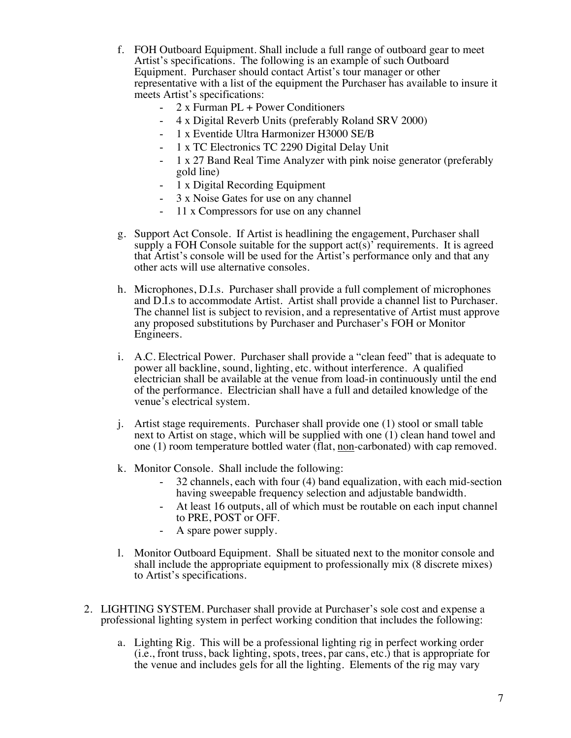- f. FOH Outboard Equipment. Shall include a full range of outboard gear to meet Artist's specifications. The following is an example of such Outboard Equipment. Purchaser should contact Artist's tour manager or other representative with a list of the equipment the Purchaser has available to insure it meets Artist's specifications:
	- 2 x Furman PL + Power Conditioners
	- 4 x Digital Reverb Units (preferably Roland SRV 2000)
	- 1 x Eventide Ultra Harmonizer H3000 SE/B
	- 1 x TC Electronics TC 2290 Digital Delay Unit
	- 1 x 27 Band Real Time Analyzer with pink noise generator (preferably gold line)
	- 1 x Digital Recording Equipment
	- 3 x Noise Gates for use on any channel
	- 11 x Compressors for use on any channel
- g. Support Act Console. If Artist is headlining the engagement, Purchaser shall supply a FOH Console suitable for the support act(s)' requirements. It is agreed that Artist's console will be used for the Artist's performance only and that any other acts will use alternative consoles.
- h. Microphones, D.I.s. Purchaser shall provide a full complement of microphones and D.I.s to accommodate Artist. Artist shall provide a channel list to Purchaser. The channel list is subject to revision, and a representative of Artist must approve any proposed substitutions by Purchaser and Purchaser's FOH or Monitor Engineers.
- i. A.C. Electrical Power. Purchaser shall provide a "clean feed" that is adequate to power all backline, sound, lighting, etc. without interference. A qualified electrician shall be available at the venue from load-in continuously until the end of the performance. Electrician shall have a full and detailed knowledge of the venue's electrical system.
- j. Artist stage requirements. Purchaser shall provide one (1) stool or small table next to Artist on stage, which will be supplied with one (1) clean hand towel and one (1) room temperature bottled water (flat, non-carbonated) with cap removed.
- k. Monitor Console. Shall include the following:
	- 32 channels, each with four (4) band equalization, with each mid-section having sweepable frequency selection and adjustable bandwidth.
	- At least 16 outputs, all of which must be routable on each input channel to PRE, POST or OFF.
	- A spare power supply.
- l. Monitor Outboard Equipment. Shall be situated next to the monitor console and shall include the appropriate equipment to professionally mix (8 discrete mixes) to Artist's specifications.
- 2. LIGHTING SYSTEM. Purchaser shall provide at Purchaser's sole cost and expense a professional lighting system in perfect working condition that includes the following:
	- a. Lighting Rig. This will be a professional lighting rig in perfect working order (i.e., front truss, back lighting, spots, trees, par cans, etc.) that is appropriate for the venue and includes gels for all the lighting. Elements of the rig may vary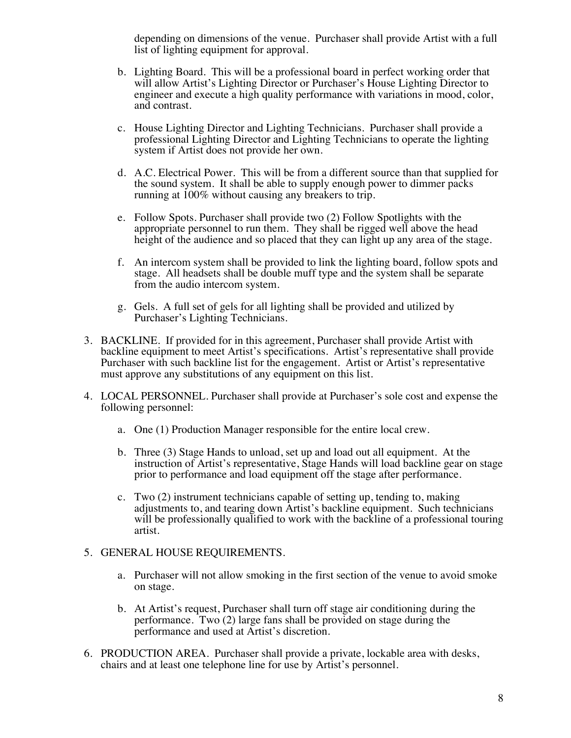depending on dimensions of the venue. Purchaser shall provide Artist with a full list of lighting equipment for approval.

- b. Lighting Board. This will be a professional board in perfect working order that will allow Artist's Lighting Director or Purchaser's House Lighting Director to engineer and execute a high quality performance with variations in mood, color, and contrast.
- c. House Lighting Director and Lighting Technicians. Purchaser shall provide a professional Lighting Director and Lighting Technicians to operate the lighting system if Artist does not provide her own.
- d. A.C. Electrical Power. This will be from a different source than that supplied for the sound system. It shall be able to supply enough power to dimmer packs running at 100% without causing any breakers to trip.
- e. Follow Spots. Purchaser shall provide two (2) Follow Spotlights with the appropriate personnel to run them. They shall be rigged well above the head height of the audience and so placed that they can light up any area of the stage.
- f. An intercom system shall be provided to link the lighting board, follow spots and stage. All headsets shall be double muff type and the system shall be separate from the audio intercom system.
- g. Gels. A full set of gels for all lighting shall be provided and utilized by Purchaser's Lighting Technicians.
- 3. BACKLINE. If provided for in this agreement, Purchaser shall provide Artist with backline equipment to meet Artist's specifications. Artist's representative shall provide Purchaser with such backline list for the engagement. Artist or Artist's representative must approve any substitutions of any equipment on this list.
- 4. LOCAL PERSONNEL. Purchaser shall provide at Purchaser's sole cost and expense the following personnel:
	- a. One (1) Production Manager responsible for the entire local crew.
	- b. Three (3) Stage Hands to unload, set up and load out all equipment. At the instruction of Artist's representative, Stage Hands will load backline gear on stage prior to performance and load equipment off the stage after performance.
	- c. Two (2) instrument technicians capable of setting up, tending to, making adjustments to, and tearing down Artist's backline equipment. Such technicians will be professionally qualified to work with the backline of a professional touring artist.

#### 5. GENERAL HOUSE REQUIREMENTS.

- a. Purchaser will not allow smoking in the first section of the venue to avoid smoke on stage.
- b. At Artist's request, Purchaser shall turn off stage air conditioning during the performance. Two (2) large fans shall be provided on stage during the performance and used at Artist's discretion.
- 6. PRODUCTION AREA. Purchaser shall provide a private, lockable area with desks, chairs and at least one telephone line for use by Artist's personnel.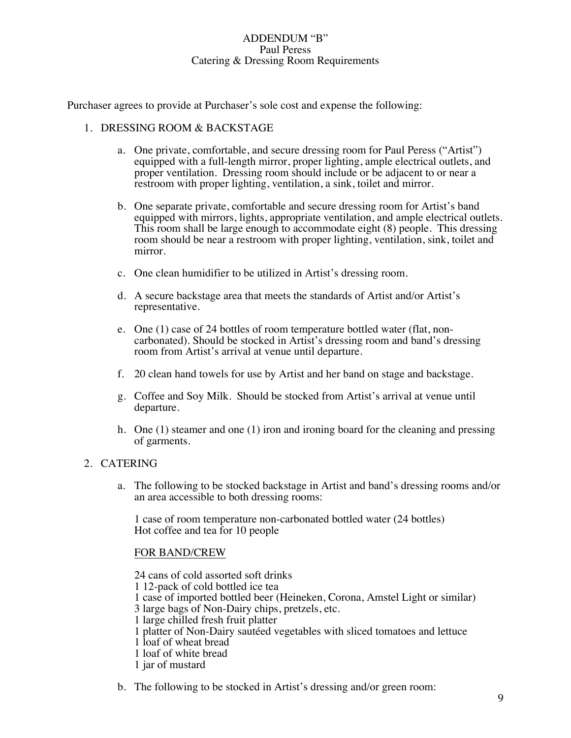#### ADDENDUM "B" Paul Peress Catering & Dressing Room Requirements

Purchaser agrees to provide at Purchaser's sole cost and expense the following:

### 1. DRESSING ROOM & BACKSTAGE

- a. One private, comfortable, and secure dressing room for Paul Peress ("Artist") equipped with a full-length mirror, proper lighting, ample electrical outlets, and proper ventilation. Dressing room should include or be adjacent to or near a restroom with proper lighting, ventilation, a sink, toilet and mirror.
- b. One separate private, comfortable and secure dressing room for Artist's band equipped with mirrors, lights, appropriate ventilation, and ample electrical outlets. This room shall be large enough to accommodate eight (8) people. This dressing room should be near a restroom with proper lighting, ventilation, sink, toilet and mirror.
- c. One clean humidifier to be utilized in Artist's dressing room.
- d. A secure backstage area that meets the standards of Artist and/or Artist's representative.
- e. One (1) case of 24 bottles of room temperature bottled water (flat, noncarbonated). Should be stocked in Artist's dressing room and band's dressing room from Artist's arrival at venue until departure.
- f. 20 clean hand towels for use by Artist and her band on stage and backstage.
- g. Coffee and Soy Milk. Should be stocked from Artist's arrival at venue until departure.
- h. One (1) steamer and one (1) iron and ironing board for the cleaning and pressing of garments.

# 2. CATERING

a. The following to be stocked backstage in Artist and band's dressing rooms and/or an area accessible to both dressing rooms:

1 case of room temperature non-carbonated bottled water (24 bottles) Hot coffee and tea for 10 people

# FOR BAND/CREW

24 cans of cold assorted soft drinks 1 12-pack of cold bottled ice tea 1 case of imported bottled beer (Heineken, Corona, Amstel Light or similar) 3 large bags of Non-Dairy chips, pretzels, etc. 1 large chilled fresh fruit platter 1 platter of Non-Dairy sautéed vegetables with sliced tomatoes and lettuce 1 loaf of wheat bread 1 loaf of white bread 1 jar of mustard

b. The following to be stocked in Artist's dressing and/or green room: